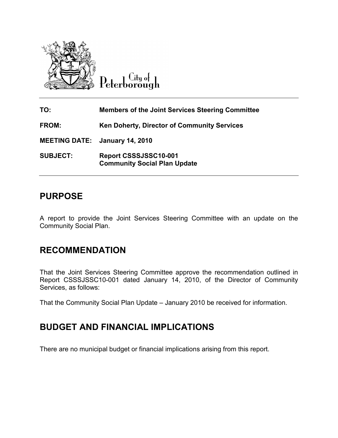

 $C$ ity of Peterborough

| TO:                                   | <b>Members of the Joint Services Steering Committee</b>      |
|---------------------------------------|--------------------------------------------------------------|
| <b>FROM:</b>                          | <b>Ken Doherty, Director of Community Services</b>           |
| <b>MEETING DATE: January 14, 2010</b> |                                                              |
| <b>SUBJECT:</b>                       | Report CSSSJSSC10-001<br><b>Community Social Plan Update</b> |

## PURPOSE

A report to provide the Joint Services Steering Committee with an update on the Community Social Plan.

## RECOMMENDATION

That the Joint Services Steering Committee approve the recommendation outlined in Report CSSSJSSC10-001 dated January 14, 2010, of the Director of Community Services, as follows:

That the Community Social Plan Update – January 2010 be received for information.

## BUDGET AND FINANCIAL IMPLICATIONS

There are no municipal budget or financial implications arising from this report.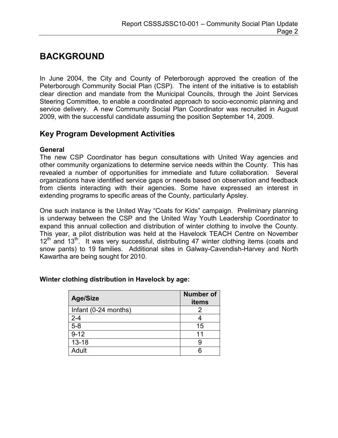# BACKGROUND

In June 2004, the City and County of Peterborough approved the creation of the Peterborough Community Social Plan (CSP). The intent of the initiative is to establish clear direction and mandate from the Municipal Councils, through the Joint Services Steering Committee, to enable a coordinated approach to socio-economic planning and service delivery. A new Community Social Plan Coordinator was recruited in August 2009, with the successful candidate assuming the position September 14, 2009.

## Key Program Development Activities

## General

The new CSP Coordinator has begun consultations with United Way agencies and other community organizations to determine service needs within the County. This has revealed a number of opportunities for immediate and future collaboration. Several organizations have identified service gaps or needs based on observation and feedback from clients interacting with their agencies. Some have expressed an interest in extending programs to specific areas of the County, particularly Apsley.

One such instance is the United Way "Coats for Kids" campaign. Preliminary planning is underway between the CSP and the United Way Youth Leadership Coordinator to expand this annual collection and distribution of winter clothing to involve the County. This year, a pilot distribution was held at the Havelock TEACH Centre on November  $12<sup>th</sup>$  and  $13<sup>th</sup>$ . It was very successful, distributing 47 winter clothing items (coats and snow pants) to 19 families. Additional sites in Galway-Cavendish-Harvey and North Kawartha are being sought for 2010.

| <b>Age/Size</b>      | <b>Number of</b><br>items |
|----------------------|---------------------------|
| Infant (0-24 months) |                           |
| $2 - 4$              |                           |
| $5-8$                | 15                        |
| $9 - 12$             | 11                        |
| $13 - 18$            |                           |
| Adult                |                           |

## Winter clothing distribution in Havelock by age: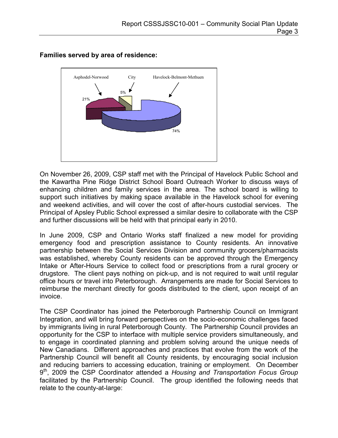

Families served by area of residence:

On November 26, 2009, CSP staff met with the Principal of Havelock Public School and the Kawartha Pine Ridge District School Board Outreach Worker to discuss ways of enhancing children and family services in the area. The school board is willing to support such initiatives by making space available in the Havelock school for evening and weekend activities, and will cover the cost of after-hours custodial services. The Principal of Apsley Public School expressed a similar desire to collaborate with the CSP and further discussions will be held with that principal early in 2010.

In June 2009, CSP and Ontario Works staff finalized a new model for providing emergency food and prescription assistance to County residents. An innovative partnership between the Social Services Division and community grocers/pharmacists was established, whereby County residents can be approved through the Emergency Intake or After-Hours Service to collect food or prescriptions from a rural grocery or drugstore. The client pays nothing on pick-up, and is not required to wait until regular office hours or travel into Peterborough. Arrangements are made for Social Services to reimburse the merchant directly for goods distributed to the client, upon receipt of an invoice.

The CSP Coordinator has joined the Peterborough Partnership Council on Immigrant Integration, and will bring forward perspectives on the socio-economic challenges faced by immigrants living in rural Peterborough County. The Partnership Council provides an opportunity for the CSP to interface with multiple service providers simultaneously, and to engage in coordinated planning and problem solving around the unique needs of New Canadians. Different approaches and practices that evolve from the work of the Partnership Council will benefit all County residents, by encouraging social inclusion and reducing barriers to accessing education, training or employment. On December 9<sup>th</sup>, 2009 the CSP Coordinator attended a Housing and Transportation Focus Group facilitated by the Partnership Council. The group identified the following needs that relate to the county-at-large: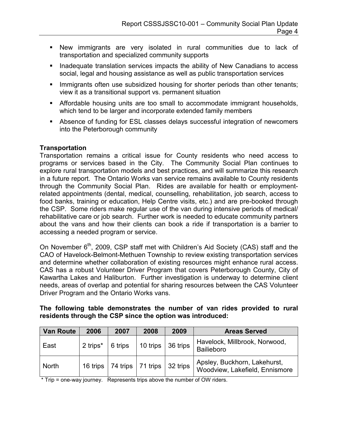- New immigrants are very isolated in rural communities due to lack of transportation and specialized community supports
- **I.** Inadequate translation services impacts the ability of New Canadians to access social, legal and housing assistance as well as public transportation services
- **Immigrants often use subsidized housing for shorter periods than other tenants;** view it as a transitional support vs. permanent situation
- Affordable housing units are too small to accommodate immigrant households, which tend to be larger and incorporate extended family members
- Absence of funding for ESL classes delays successful integration of newcomers into the Peterborough community

## **Transportation**

Transportation remains a critical issue for County residents who need access to programs or services based in the City. The Community Social Plan continues to explore rural transportation models and best practices, and will summarize this research in a future report. The Ontario Works van service remains available to County residents through the Community Social Plan. Rides are available for health or employmentrelated appointments (dental, medical, counselling, rehabilitation, job search, access to food banks, training or education, Help Centre visits, etc.) and are pre-booked through the CSP. Some riders make regular use of the van during intensive periods of medical/ rehabilitative care or job search. Further work is needed to educate community partners about the vans and how their clients can book a ride if transportation is a barrier to accessing a needed program or service.

On November  $6<sup>th</sup>$ , 2009, CSP staff met with Children's Aid Society (CAS) staff and the CAO of Havelock-Belmont-Methuen Township to review existing transportation services and determine whether collaboration of existing resources might enhance rural access. CAS has a robust Volunteer Driver Program that covers Peterborough County, City of Kawartha Lakes and Haliburton. Further investigation is underway to determine client needs, areas of overlap and potential for sharing resources between the CAS Volunteer Driver Program and the Ontario Works vans.

#### The following table demonstrates the number of van rides provided to rural residents through the CSP since the option was introduced:

| <b>Van Route</b> | 2006     | 2007                        | 2008     | 2009     | <b>Areas Served</b>                                            |
|------------------|----------|-----------------------------|----------|----------|----------------------------------------------------------------|
| East             | 2 trips* | 6 trips                     | 10 trips | 36 trips | Havelock, Millbrook, Norwood,<br>Bailieboro                    |
| <b>North</b>     | 16 trips | $74$ trips $\vert$ 71 trips |          | 32 trips | Apsley, Buckhorn, Lakehurst,<br>Woodview, Lakefield, Ennismore |

\* Trip = one-way journey. Represents trips above the number of OW riders.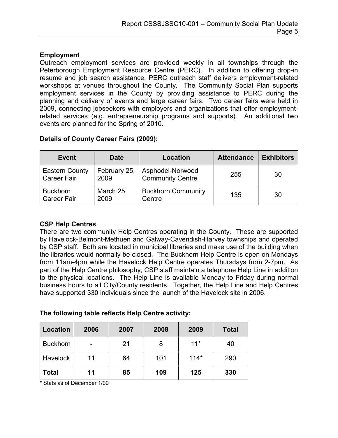## Employment

Outreach employment services are provided weekly in all townships through the Peterborough Employment Resource Centre (PERC). In addition to offering drop-in resume and job search assistance, PERC outreach staff delivers employment-related workshops at venues throughout the County. The Community Social Plan supports employment services in the County by providing assistance to PERC during the planning and delivery of events and large career fairs. Two career fairs were held in 2009, connecting jobseekers with employers and organizations that offer employmentrelated services (e.g. entrepreneurship programs and supports). An additional two events are planned for the Spring of 2010.

## Details of County Career Fairs (2009):

| <b>Event</b>                                | <b>Date</b>          | Location                                    | <b>Attendance</b> | <b>Exhibitors</b> |
|---------------------------------------------|----------------------|---------------------------------------------|-------------------|-------------------|
| <b>Eastern County</b><br><b>Career Fair</b> | February 25,<br>2009 | Asphodel-Norwood<br><b>Community Centre</b> | 255               | 30                |
| <b>Buckhorn</b><br><b>Career Fair</b>       | March 25,<br>2009    | <b>Buckhorn Community</b><br>Centre         | 135               | 30                |

## CSP Help Centres

There are two community Help Centres operating in the County. These are supported by Havelock-Belmont-Methuen and Galway-Cavendish-Harvey townships and operated by CSP staff. Both are located in municipal libraries and make use of the building when the libraries would normally be closed. The Buckhorn Help Centre is open on Mondays from 11am-4pm while the Havelock Help Centre operates Thursdays from 2-7pm. As part of the Help Centre philosophy, CSP staff maintain a telephone Help Line in addition to the physical locations. The Help Line is available Monday to Friday during normal business hours to all City/County residents. Together, the Help Line and Help Centres have supported 330 individuals since the launch of the Havelock site in 2006.

| <b>Location</b> | 2006 | 2007 | 2008 | 2009   | <b>Total</b> |
|-----------------|------|------|------|--------|--------------|
| <b>Buckhorn</b> |      | 21   | 8    | $11*$  | 40           |
| <b>Havelock</b> | 11   | 64   | 101  | $114*$ | 290          |
| Total           | 11   | 85   | 109  | 125    | 330          |

\* Stats as of December 1/09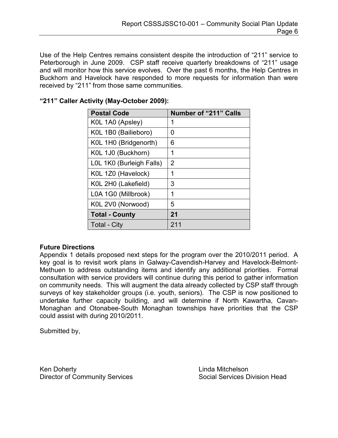Use of the Help Centres remains consistent despite the introduction of "211" service to Peterborough in June 2009. CSP staff receive quarterly breakdowns of "211" usage and will monitor how this service evolves. Over the past 6 months, the Help Centres in Buckhorn and Havelock have responded to more requests for information than were received by "211" from those same communities.

| <b>Postal Code</b>       | <b>Number of "211" Calls</b> |
|--------------------------|------------------------------|
| KOL 1A0 (Apsley)         | 1                            |
| K0L 1B0 (Bailieboro)     | 0                            |
| K0L 1H0 (Bridgenorth)    | 6                            |
| K0L 1J0 (Buckhorn)       | 1                            |
| LOL 1K0 (Burleigh Falls) | 2                            |
| K0L 1Z0 (Havelock)       | 1                            |
| K0L 2H0 (Lakefield)      | 3                            |
| L0A 1G0 (Millbrook)      | 1                            |
| K0L 2V0 (Norwood)        | 5                            |
| <b>Total - County</b>    | 21                           |
| <b>Total - City</b>      | 211                          |

## "211" Caller Activity (May-October 2009):

## Future Directions

Appendix 1 details proposed next steps for the program over the 2010/2011 period. A key goal is to revisit work plans in Galway-Cavendish-Harvey and Havelock-Belmont-Methuen to address outstanding items and identify any additional priorities. Formal consultation with service providers will continue during this period to gather information on community needs. This will augment the data already collected by CSP staff through surveys of key stakeholder groups (i.e. youth, seniors). The CSP is now positioned to undertake further capacity building, and will determine if North Kawartha, Cavan-Monaghan and Otonabee-South Monaghan townships have priorities that the CSP could assist with during 2010/2011.

Submitted by,

Ken Doherty **Linda Mitchelson** Director of Community Services Social Services Division Head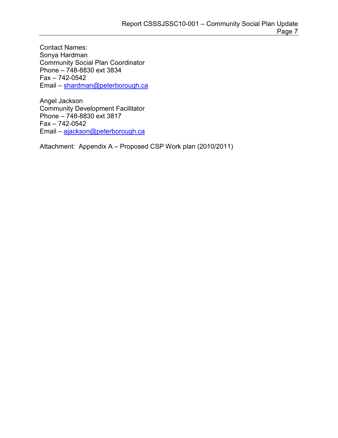Contact Names: Sonya Hardman Community Social Plan Coordinator Phone – 748-8830 ext 3834 Fax – 742-0542 Email – [shardman@peterborough.ca](mailto:shardman@peterborough.ca) 

Angel Jackson Community Development Facilitator Phone – 748-8830 ext 3817 Fax – 742-0542 Email – [ajackson@peterborough.ca](mailto:ajackson@peterborough.ca) 

Attachment: Appendix A – Proposed CSP Work plan (2010/2011)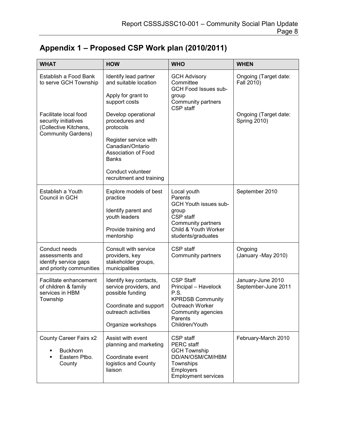| <b>WHAT</b>                                                                                         | <b>HOW</b>                                                                            | <b>WHO</b>                                                                                           | <b>WHEN</b>                                  |
|-----------------------------------------------------------------------------------------------------|---------------------------------------------------------------------------------------|------------------------------------------------------------------------------------------------------|----------------------------------------------|
| Establish a Food Bank<br>to serve GCH Township                                                      | Identify lead partner<br>and suitable location<br>Apply for grant to<br>support costs | <b>GCH Advisory</b><br>Committee<br>GCH Food Issues sub-<br>group<br>Community partners<br>CSP staff | Ongoing (Target date:<br>Fall 2010)          |
| Facilitate local food<br>security initiatives<br>(Collective Kitchens,<br><b>Community Gardens)</b> | Develop operational<br>procedures and<br>protocols                                    |                                                                                                      | Ongoing (Target date:<br><b>Spring 2010)</b> |
|                                                                                                     | Register service with<br>Canadian/Ontario<br>Association of Food<br><b>Banks</b>      |                                                                                                      |                                              |
|                                                                                                     | Conduct volunteer<br>recruitment and training                                         |                                                                                                      |                                              |
| Establish a Youth<br>Council in GCH                                                                 | Explore models of best<br>practice                                                    | Local youth<br>Parents<br>GCH Youth issues sub-                                                      | September 2010                               |
|                                                                                                     | Identify parent and<br>youth leaders                                                  | group<br>CSP staff<br>Community partners                                                             |                                              |
|                                                                                                     | Provide training and<br>mentorship                                                    | Child & Youth Worker<br>students/graduates                                                           |                                              |
| Conduct needs<br>assessments and<br>identify service gaps<br>and priority communities               | Consult with service<br>providers, key<br>stakeholder groups,<br>municipalities       | CSP staff<br>Community partners                                                                      | Ongoing<br>(January -May 2010)               |
| Facilitate enhancement<br>of children & family<br>services in HBM<br>Township                       | Identify key contacts,<br>service providers, and<br>possible funding                  | <b>CSP Staff</b><br>Principal - Havelock<br>P.S.<br><b>KPRDSB Community</b>                          | January-June 2010<br>September-June 2011     |
|                                                                                                     | Coordinate and support<br>outreach activities                                         | Outreach Worker<br>Community agencies<br>Parents                                                     |                                              |
|                                                                                                     | Organize workshops                                                                    | Children/Youth                                                                                       |                                              |
| County Career Fairs x2<br><b>Buckhorn</b><br>Eastern Ptbo.<br>٠                                     | Assist with event<br>planning and marketing<br>Coordinate event                       | CSP staff<br>PERC staff<br><b>GCH Township</b><br>DD/AN/OSM/CM/HBM                                   | February-March 2010                          |
| County                                                                                              | logistics and County<br>liaison                                                       | Townships<br>Employers<br><b>Employment services</b>                                                 |                                              |

# Appendix 1 – Proposed CSP Work plan (2010/2011)